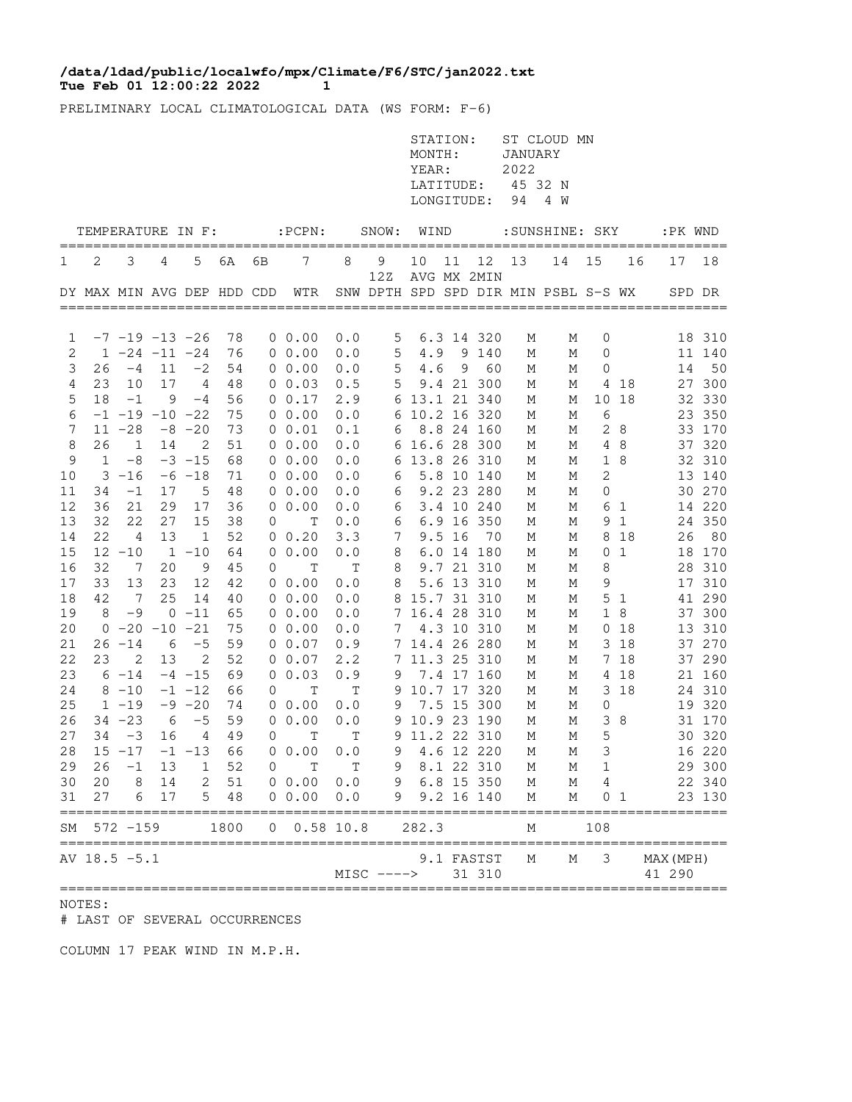## **Tue Feb 01 12:00:22 2022 1 /data/ldad/public/localwfo/mpx/Climate/F6/STC/jan2022.txt**

PRELIMINARY LOCAL CLIMATOLOGICAL DATA (WS FORM: F-6)

|                |            |                                         |     |                   |          |                |                                  |                    |              | STATION:<br>MONTH:<br>YEAR:<br>LATITUDE:<br>LONGITUDE: |          |                          | JANUARY<br>2022<br>45 32 N<br>94 | ST CLOUD MN<br>4 W                   |              |                |                     |                  |
|----------------|------------|-----------------------------------------|-----|-------------------|----------|----------------|----------------------------------|--------------------|--------------|--------------------------------------------------------|----------|--------------------------|----------------------------------|--------------------------------------|--------------|----------------|---------------------|------------------|
|                |            |                                         |     | TEMPERATURE IN F: |          |                | $:$ PCPN $:$                     |                    | SNOW:        | WIND                                                   |          |                          |                                  | :SUNSHINE: SKY                       |              |                | :PK WND             |                  |
| 1              | 2          | 3                                       | 4   | 5                 | 6A       | 6В             | 7                                | 8                  | 9            | 10                                                     | 11       | 12                       | 13                               | 14                                   | 15           | 16             | 17                  | 18               |
|                |            |                                         |     |                   |          |                | DY MAX MIN AVG DEP HDD CDD WTR   |                    | 12Z          |                                                        |          | AVG MX 2MIN              |                                  | SNW DPTH SPD SPD DIR MIN PSBL S-S WX |              |                |                     | SPD DR           |
|                |            |                                         |     |                   |          |                |                                  |                    |              |                                                        |          |                          |                                  |                                      |              |                |                     |                  |
| 1<br>2         |            | $-7$ $-19$ $-13$ $-26$<br>1 -24 -11 -24 |     |                   | 78<br>76 |                | $0\;\;0.00$<br>$0\;\;0.00$       | 0.0<br>0.0         | 5<br>5       | 4.9                                                    |          | 6.3 14 320<br>9 140      | М<br>М                           | М<br>М                               | 0<br>0       |                |                     | 18 310<br>11 140 |
| 3              | 26         | $-4$                                    | 11  | $-2$              | 54       |                | $0\;\;0.00$                      | 0.0                | 5            | 4.6                                                    | 9        | 60                       | М                                | М                                    | 0            |                | 14                  | 50               |
| $\overline{4}$ | 23         | 10                                      | 17  | $\overline{4}$    | 48       |                | $0\;\;0.03$                      | 0.5                | 5            |                                                        |          | 9.4 21 300               | М                                | М                                    |              | 4 18           |                     | 27 300           |
| 5              | 18         | $-1$                                    | - 9 | $-4$              | 56       |                | $0 \t 0.17$                      | 2.9                |              | 6 13.1 21 340                                          |          |                          | М                                | М                                    |              | 10 18          |                     | 32 330           |
| 6              |            | $-1$ $-19$ $-10$ $-22$                  |     |                   | 75       |                | $0\;\;0.00$                      | 0.0                |              | 6 10.2 16 320                                          |          |                          | М                                | М                                    | 6            |                |                     | 23 350           |
| 7              |            | $11 - 28$                               |     | $-8$ $-20$        | 73       |                | 0 0.01                           | 0.1                | 6            |                                                        |          | 8.8 24 160               | М                                | М                                    |              | 28             |                     | 33 170           |
| 8              | 26         | 1                                       | 14  | 2                 | 51       |                | $0\;\;0.00$                      | 0.0                |              | 6 16.6 28 300                                          |          |                          | М                                | М                                    |              | 4 8            |                     | 37 320           |
| 9              | 1          | $-8$                                    |     | $-3 - 15$         | 68       |                | $0\;\;0.00$                      | 0.0                |              | 6 13.8 26 310                                          |          |                          | М                                | М                                    |              | 1 8            |                     | 32 310           |
| 10             |            | $3 - 16$                                |     | $-6 -18$          | 71       |                | $0\;\;0.00$                      | 0.0                | 6            |                                                        |          | 5.8 10 140               | М                                | М                                    | 2            |                |                     | 13 140           |
| 11             | 34         | $-1$                                    | 17  | 5                 | 48       |                | $0\;\;0.00$                      | 0.0                | 6            |                                                        |          | 9.2 23 280               | М                                | М                                    | 0            |                |                     | 30 270           |
| 12             | 36         | 21                                      | 29  | 17                | 36       |                | $0\;\;0.00$                      | 0.0                | 6            |                                                        |          | 3.4 10 240               | М                                | М                                    |              | 6 1            |                     | 14 220           |
| 13             | 32         | 22                                      | 27  | 15                | 38       | 0              | Т                                | 0.0                | 6            |                                                        |          | 6.9 16 350               | М                                | М                                    |              | 9 1            |                     | 24 350           |
| 14             | 22         | 4                                       | 13  | 1                 | 52       |                | 0 0.20                           | 3.3                | 7            |                                                        | $9.5$ 16 | 70                       | М                                | М                                    | 8            | 18             | 26                  | 80               |
| 15             | 32         | $12 - 10$<br>$7\phantom{.0}$            | 20  | $1 - 10$<br>9     | 64       |                | 0 0.00<br>$\mathbf T$            | 0.0<br>$\mathbb T$ | 8            |                                                        |          | 6.0 14 180<br>9.7 21 310 | М                                | М                                    |              | 0 <sub>1</sub> |                     | 18 170           |
| 16<br>17       | 33         | 13                                      | 23  | 12                | 45<br>42 | 0              | $0\;\;0.00$                      | 0.0                | 8<br>8       |                                                        |          | 5.6 13 310               | М<br>М                           | М<br>М                               | 8<br>9       |                |                     | 28 310<br>17 310 |
| 18             | 42         | $\overline{7}$                          | 25  | 14                | 40       |                | $0\;\;0.00$                      | 0.0                |              | 8 15.7 31 310                                          |          |                          | М                                | М                                    |              | 5 <sub>1</sub> |                     | 41 290           |
| 19             | 8          | $-9$                                    |     | $0 - 11$          | 65       |                | $0\;\;0.00$                      | 0.0                |              | 7 16.4 28 310                                          |          |                          | М                                | М                                    | 1            | 8              |                     | 37 300           |
| 20             |            | $0 - 20 - 10$                           |     | $-21$             | 75       |                | $0\;\;0.00$                      | 0.0                | 7            |                                                        |          | 4.3 10 310               | М                                | М                                    | 0            | 18             |                     | 13 310           |
| 21             |            | $26 - 14$                               | 6   | $-5$              | 59       |                | 00.07                            | 0.9                |              | 7 14.4 26 280                                          |          |                          | М                                | М                                    |              | 3 18           |                     | 37 270           |
| 22             | 23         | 2                                       | 13  | 2                 | 52       |                | $0\;\;0.07$                      | 2.2                |              | 7 11.3 25 310                                          |          |                          | М                                | М                                    |              | 7 18           |                     | 37 290           |
| 23             |            | $6 - 14$                                |     | $-4$ $-15$        | 69       |                | 0 0.03                           | 0.9                | 9            |                                                        |          | 7.4 17 160               | М                                | М                                    |              | 4 18           |                     | 21 160           |
| 24             |            | $8 - 10$                                |     | $-1$ $-12$        | 66       | 0              | Т                                | T                  |              | 9 10.7 17 320                                          |          |                          | М                                | М                                    |              | 3 18           |                     | 24 310           |
| 25             |            | $1 - 19$                                |     | $-9 - 20$         | 74       |                | $0\;\;0.00$                      | 0.0                | 9            |                                                        |          | 7.5 15 300               | М                                | М                                    | 0            |                |                     | 19 320           |
| 26             |            | $34 - 23$                               | 6   | $-5$              | 59       |                | 0 0.00                           | 0.0                |              | 9 10.9 23 190                                          |          |                          | М                                | М                                    |              | 38             |                     | 31 170           |
| 27             | 34         | $-3$                                    | 16  | $\overline{4}$    | 49       | 0              | $\mathbf T$                      | Т                  |              | 9 11.2 22 310                                          |          |                          | М                                | М                                    | 5            |                |                     | 30 320           |
|                |            |                                         |     |                   |          |                | $28$ 15 -17 -1 -13 66 0 0.00 0.0 |                    |              | 9 4.6 12 220 M                                         |          |                          |                                  |                                      | M 3          |                |                     | 16 220           |
| 29             |            | $26 - 1$                                | 13  | 1                 | 52       |                | T<br>$0 \qquad \qquad$           | T                  | 9            | 8.1 22 310                                             |          |                          | М                                | М                                    | $\mathbf{1}$ |                |                     | 29 300           |
| 30             |            | 20 8                                    | 14  |                   | 2 51     |                | 0 0.00 0.0                       |                    | 9 6.8 15 350 |                                                        |          |                          | $M_{\odot}$                      | M                                    | 4            |                |                     | 22 340           |
| 31             | 27         | 6<br>============                       | 17  |                   | 5 48     |                | 00.0000.0                        |                    | 9            |                                                        |          | 9.2 16 140               | М                                | М                                    |              | 0 1            | ============        | 23 130           |
| SΜ             | ========== | $572 - 159$                             |     |                   | 1800     | $\overline{0}$ | $0.58$ 10.8                      |                    |              | 282.3                                                  |          |                          | М                                |                                      | 108          |                |                     |                  |
|                |            | AV 18.5 -5.1                            |     |                   |          |                |                                  |                    | $MISC$ $---$ |                                                        |          | 9.1 FASTST<br>31 310     | М                                | М                                    | 3            |                | MAX (MPH)<br>41 290 |                  |

NOTES:

# LAST OF SEVERAL OCCURRENCES

COLUMN 17 PEAK WIND IN M.P.H.